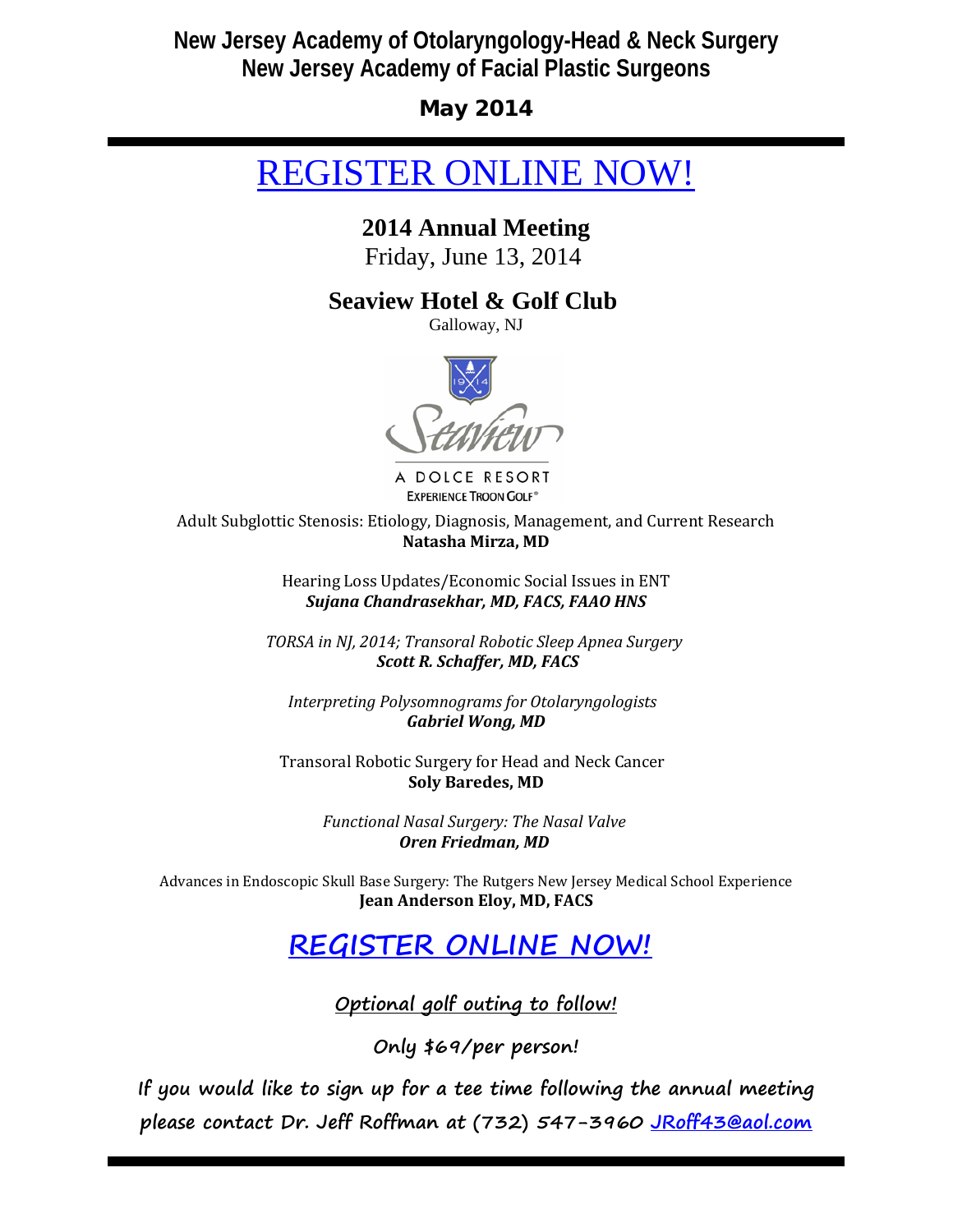# **New Jersey Academy of Otolaryngology-Head & Neck Surgery New Jersey Academy of Facial Plastic Surgeons**

May 2014

# [REGISTER ONLINE NOW!](http://r20.rs6.net/tn.jsp?e=001Oa2gSxsdLsmVlu1AFDlwBVbgYlD7jaet67IG5OnEtghvnWjo96sHLjkhTvv2QGUZmsTQWTYCm-RuyS0Xrd33OPgwlE5EMXjwOpghJE7C1mqyPS9KoQQnFjUw8Ji7eI-74wNtI6AiHr6VJWYIFeHJOA==)

## **2014 Annual Meeting**

Friday, June 13, 2014

## **Seaview Hotel & Golf Club**

Galloway, NJ



A DOLCE RESORT **EXPERIENCE TROON GOLF®** 

Adult Subglottic Stenosis: Etiology, Diagnosis, Management, and Current Research **Natasha Mirza, MD**

> Hearing Loss Updates/Economic Social Issues in ENT *Sujana Chandrasekhar, MD, FACS, FAAO HNS*

*TORSA in NJ, 2014; Transoral Robotic Sleep Apnea Surgery Scott R. Schaffer, MD, FACS*

*Interpreting Polysomnograms for Otolaryngologists Gabriel Wong, MD*

Transoral Robotic Surgery for Head and Neck Cancer **Soly Baredes, MD**

> *Functional Nasal Surgery: The Nasal Valve Oren Friedman, MD*

Advances in Endoscopic Skull Base Surgery: The Rutgers New Jersey Medical School Experience **Jean Anderson Eloy, MD, FACS**

# **[REGISTER ONLINE NOW!](http://r20.rs6.net/tn.jsp?e=001Oa2gSxsdLsmVlu1AFDlwBVbgYlD7jaet67IG5OnEtghvnWjo96sHLjkhTvv2QGUZmsTQWTYCm-RuyS0Xrd33OPgwlE5EMXjwOpghJE7C1mqyPS9KoQQnFjUw8Ji7eI-74wNtI6AiHr6VJWYIFeHJOA==)**

**Optional golf outing to follow!**

**Only \$69/per person!**

**If you would like to sign up for a tee time following the annual meeting please contact Dr. Jeff Roffman at (732) 547-3960 [JRoff43@aol.com](mailto:JRoff43@aol.com)**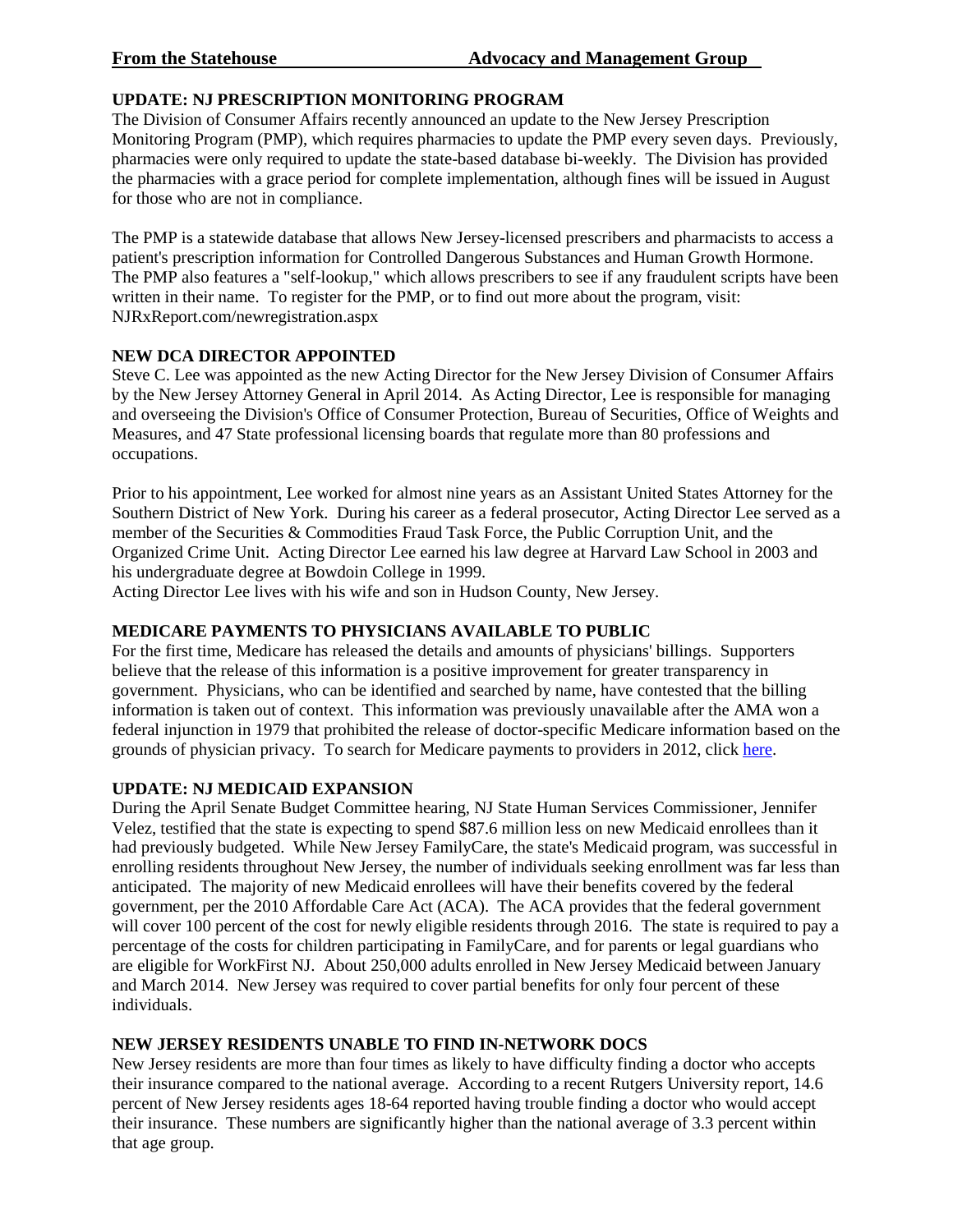### **UPDATE: NJ PRESCRIPTION MONITORING PROGRAM**

The Division of Consumer Affairs recently announced an update to the New Jersey Prescription Monitoring Program (PMP), which requires pharmacies to update the PMP every seven days. Previously, pharmacies were only required to update the state-based database bi-weekly. The Division has provided the pharmacies with a grace period for complete implementation, although fines will be issued in August for those who are not in compliance.

The PMP is a statewide database that allows New Jersey-licensed prescribers and pharmacists to access a patient's prescription information for Controlled Dangerous Substances and Human Growth Hormone. The PMP also features a "self-lookup," which allows prescribers to see if any fraudulent scripts have been written in their name. To register for the PMP, or to find out more about the program, visit: NJRxReport.com/newregistration.aspx

#### **NEW DCA DIRECTOR APPOINTED**

Steve C. Lee was appointed as the new Acting Director for the New Jersey Division of Consumer Affairs by the New Jersey Attorney General in April 2014. As Acting Director, Lee is responsible for managing and overseeing the Division's Office of Consumer Protection, Bureau of Securities, Office of Weights and Measures, and 47 State professional licensing boards that regulate more than 80 professions and occupations.

Prior to his appointment, Lee worked for almost nine years as an Assistant United States Attorney for the Southern District of New York. During his career as a federal prosecutor, Acting Director Lee served as a member of the Securities & Commodities Fraud Task Force, the Public Corruption Unit, and the Organized Crime Unit. Acting Director Lee earned his law degree at Harvard Law School in 2003 and his undergraduate degree at Bowdoin College in 1999.

Acting Director Lee lives with his wife and son in Hudson County, New Jersey.

### **MEDICARE PAYMENTS TO PHYSICIANS AVAILABLE TO PUBLIC**

For the first time, Medicare has released the details and amounts of physicians' billings. Supporters believe that the release of this information is a positive improvement for greater transparency in government. Physicians, who can be identified and searched by name, have contested that the billing information is taken out of context. This information was previously unavailable after the AMA won a federal injunction in 1979 that prohibited the release of doctor-specific Medicare information based on the grounds of physician privacy. To search for Medicare payments to providers in 2012, click [here.](http://r20.rs6.net/tn.jsp?e=001Oa2gSxsdLsmVlu1AFDlwBVbgYlD7jaet67IG5OnEtghvnWjo96sHLjkhTvv2QGUZq3INy4RnRlQ42IwdWArFpEFUM9dSLdosS9pZB_qZEwXNl_iCjHXm1QrWx0LUozhOONnSSa45pUY_BU-0qh4VozlezhYehcHp)

### **UPDATE: NJ MEDICAID EXPANSION**

During the April Senate Budget Committee hearing, NJ State Human Services Commissioner, Jennifer Velez, testified that the state is expecting to spend \$87.6 million less on new Medicaid enrollees than it had previously budgeted. While New Jersey FamilyCare, the state's Medicaid program, was successful in enrolling residents throughout New Jersey, the number of individuals seeking enrollment was far less than anticipated. The majority of new Medicaid enrollees will have their benefits covered by the federal government, per the 2010 Affordable Care Act (ACA). The ACA provides that the federal government will cover 100 percent of the cost for newly eligible residents through 2016. The state is required to pay a percentage of the costs for children participating in FamilyCare, and for parents or legal guardians who are eligible for WorkFirst NJ. About 250,000 adults enrolled in New Jersey Medicaid between January and March 2014. New Jersey was required to cover partial benefits for only four percent of these individuals.

### **NEW JERSEY RESIDENTS UNABLE TO FIND IN-NETWORK DOCS**

New Jersey residents are more than four times as likely to have difficulty finding a doctor who accepts their insurance compared to the national average. According to a recent Rutgers University report, 14.6 percent of New Jersey residents ages 18-64 reported having trouble finding a doctor who would accept their insurance. These numbers are significantly higher than the national average of 3.3 percent within that age group.